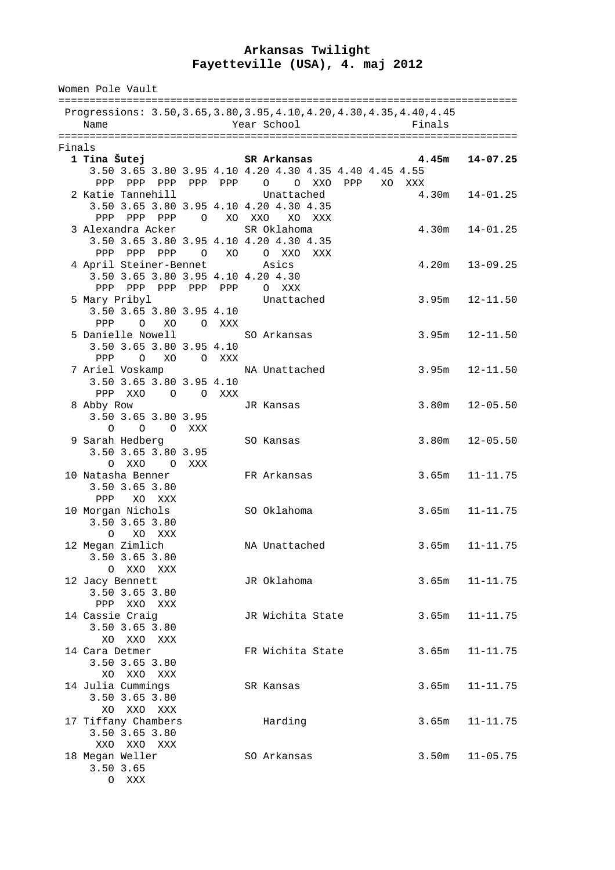## **Arkansas Twilight Fayetteville (USA), 4. maj 2012**

| Women Pole Vault                                                                                          |                        |                |                          |                |       |  |                                                                       |        |  |    |                   |              |
|-----------------------------------------------------------------------------------------------------------|------------------------|----------------|--------------------------|----------------|-------|--|-----------------------------------------------------------------------|--------|--|----|-------------------|--------------|
| Progressions: 3.50, 3.65, 3.80, 3.95, 4.10, 4.20, 4.30, 4.35, 4.40, 4.45<br>Year School<br>Name<br>Finals |                        |                |                          |                |       |  |                                                                       |        |  |    |                   |              |
|                                                                                                           |                        |                |                          |                |       |  |                                                                       |        |  |    |                   |              |
| Finals                                                                                                    |                        |                |                          |                |       |  |                                                                       |        |  |    |                   |              |
|                                                                                                           | 1 Tina Šutej           |                |                          |                |       |  | SR Arkansas<br>3.50 3.65 3.80 3.95 4.10 4.20 4.30 4.35 4.40 4.45 4.55 |        |  |    | 4.45m             | $14 - 07.25$ |
|                                                                                                           |                        |                |                          |                |       |  | 0 0 XXO PPP                                                           |        |  |    |                   |              |
|                                                                                                           | 2 Katie Tannehill      |                | PPP PPP PPP PPP PPP      |                |       |  | Unattached                                                            |        |  | XO | XXX<br>4.30m      | $14 - 01.25$ |
|                                                                                                           |                        |                |                          |                |       |  | 3.50 3.65 3.80 3.95 4.10 4.20 4.30 4.35                               |        |  |    |                   |              |
|                                                                                                           |                        |                | PPP PPP PPP              | $\overline{O}$ |       |  | XO XXO                                                                | XO XXX |  |    |                   |              |
|                                                                                                           | 3 Alexandra Acker      |                |                          |                |       |  | SR Oklahoma                                                           |        |  |    | 4.30m             | $14 - 01.25$ |
|                                                                                                           |                        |                |                          |                |       |  | 3.50 3.65 3.80 3.95 4.10 4.20 4.30 4.35                               |        |  |    |                   |              |
|                                                                                                           |                        |                | PPP PPP PPP              | $\overline{O}$ | XO    |  | O XXO                                                                 | XXX    |  |    |                   |              |
|                                                                                                           | 4 April Steiner-Bennet |                |                          |                |       |  | Asics                                                                 |        |  |    | 4.20m             | $13 - 09.25$ |
|                                                                                                           |                        |                |                          |                |       |  | 3.50 3.65 3.80 3.95 4.10 4.20 4.30                                    |        |  |    |                   |              |
|                                                                                                           |                        |                | PPP PPP PPP PPP PPP      |                |       |  | O XXX                                                                 |        |  |    |                   |              |
|                                                                                                           | 5 Mary Pribyl          |                |                          |                |       |  | Unattached                                                            |        |  |    | 3.95m             | $12 - 11.50$ |
|                                                                                                           |                        |                | 3.50 3.65 3.80 3.95 4.10 |                |       |  |                                                                       |        |  |    |                   |              |
|                                                                                                           | PPP                    | $\overline{O}$ | XO                       |                | O XXX |  |                                                                       |        |  |    |                   |              |
|                                                                                                           | 5 Danielle Nowell      |                |                          |                |       |  | SO Arkansas                                                           |        |  |    | 3.95m             | $12 - 11.50$ |
|                                                                                                           |                        |                | 3.50 3.65 3.80 3.95 4.10 |                |       |  |                                                                       |        |  |    |                   |              |
|                                                                                                           | PPP                    | $\overline{O}$ | XO                       |                | O XXX |  |                                                                       |        |  |    |                   |              |
|                                                                                                           | 7 Ariel Voskamp        |                |                          |                |       |  | NA Unattached                                                         |        |  |    | 3.95m             | $12 - 11.50$ |
|                                                                                                           |                        |                | 3.50 3.65 3.80 3.95 4.10 |                |       |  |                                                                       |        |  |    |                   |              |
|                                                                                                           |                        |                | PPP XXO O O XXX          |                |       |  |                                                                       |        |  |    |                   |              |
|                                                                                                           | 8 Abby Row             |                | 3.50 3.65 3.80 3.95      |                |       |  | JR Kansas                                                             |        |  |    | 3.80m             | $12 - 05.50$ |
|                                                                                                           | $\Omega$               | $\circ$        |                          | O XXX          |       |  |                                                                       |        |  |    |                   |              |
|                                                                                                           | 9 Sarah Hedberg        |                |                          |                |       |  | SO Kansas                                                             |        |  |    | 3.80 <sub>m</sub> | $12 - 05.50$ |
|                                                                                                           |                        |                | 3.50 3.65 3.80 3.95      |                |       |  |                                                                       |        |  |    |                   |              |
|                                                                                                           |                        | O XXO          |                          | O XXX          |       |  |                                                                       |        |  |    |                   |              |
|                                                                                                           | 10 Natasha Benner      |                |                          |                |       |  | FR Arkansas                                                           |        |  |    | 3.65m             | $11 - 11.75$ |
|                                                                                                           |                        |                | 3.50 3.65 3.80           |                |       |  |                                                                       |        |  |    |                   |              |
|                                                                                                           | PPP                    |                | XO XXX                   |                |       |  |                                                                       |        |  |    |                   |              |
|                                                                                                           | 10 Morgan Nichols      |                |                          |                |       |  | SO Oklahoma                                                           |        |  |    | 3.65m             | $11 - 11.75$ |
|                                                                                                           |                        |                | 3.50 3.65 3.80           |                |       |  |                                                                       |        |  |    |                   |              |
|                                                                                                           | $\circ$                |                | XO XXX                   |                |       |  |                                                                       |        |  |    |                   |              |
|                                                                                                           | 12 Megan Zimlich       |                |                          |                |       |  | NA Unattached                                                         |        |  |    | 3.65m             | $11 - 11.75$ |
|                                                                                                           |                        |                | 3.50 3.65 3.80           |                |       |  |                                                                       |        |  |    |                   |              |
|                                                                                                           | 12 Jacy Bennett        |                | O XXO XXX                |                |       |  | JR Oklahoma                                                           |        |  |    | 3.65m             | $11 - 11.75$ |
|                                                                                                           |                        |                | 3.50 3.65 3.80           |                |       |  |                                                                       |        |  |    |                   |              |
|                                                                                                           |                        |                | PPP XXO XXX              |                |       |  |                                                                       |        |  |    |                   |              |
|                                                                                                           | 14 Cassie Craig        |                |                          |                |       |  | JR Wichita State                                                      |        |  |    | 3.65m             | $11 - 11.75$ |
|                                                                                                           |                        |                | 3.50 3.65 3.80           |                |       |  |                                                                       |        |  |    |                   |              |
|                                                                                                           |                        |                | XO XXO XXX               |                |       |  |                                                                       |        |  |    |                   |              |
|                                                                                                           | 14 Cara Detmer         |                |                          |                |       |  | FR Wichita State                                                      |        |  |    | 3.65m             | $11 - 11.75$ |
|                                                                                                           |                        |                | 3.50 3.65 3.80           |                |       |  |                                                                       |        |  |    |                   |              |
|                                                                                                           |                        |                | XO XXO XXX               |                |       |  |                                                                       |        |  |    |                   |              |
|                                                                                                           | 14 Julia Cummings      |                |                          |                |       |  | SR Kansas                                                             |        |  |    | 3.65m             | $11 - 11.75$ |
|                                                                                                           |                        |                | 3.50 3.65 3.80           |                |       |  |                                                                       |        |  |    |                   |              |
|                                                                                                           | XO                     |                | XXO XXX                  |                |       |  |                                                                       |        |  |    |                   |              |
|                                                                                                           | 17 Tiffany Chambers    |                | 3.50 3.65 3.80           |                |       |  | Harding                                                               |        |  |    | 3.65m             | $11 - 11.75$ |
|                                                                                                           |                        |                | XXO XXO XXX              |                |       |  |                                                                       |        |  |    |                   |              |
|                                                                                                           | 18 Megan Weller        |                |                          |                |       |  | SO Arkansas                                                           |        |  |    | 3.50m             | $11 - 05.75$ |
|                                                                                                           | 3.50 3.65              |                |                          |                |       |  |                                                                       |        |  |    |                   |              |
|                                                                                                           |                        | O XXX          |                          |                |       |  |                                                                       |        |  |    |                   |              |